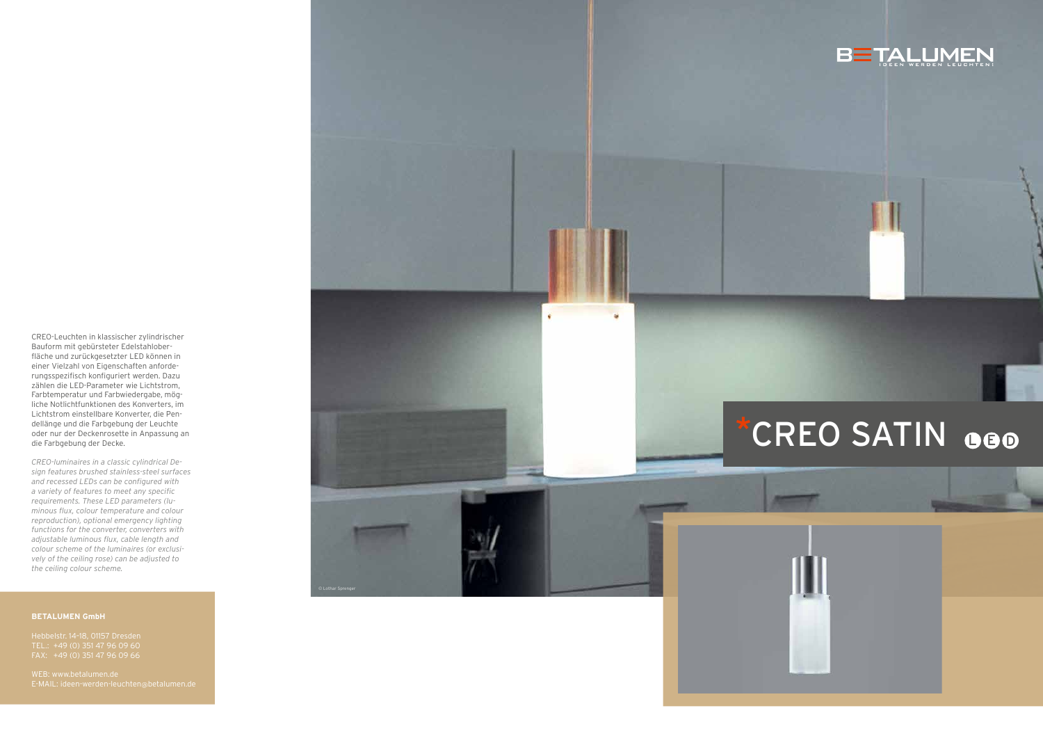CREO-Leuchten in klassischer zylindrischer Bauform mit gebürsteter Edelstahlober fläche und zurückgesetzter LED können in einer Vielzahl von Eigenschaften anforde rungsspezifisch konfiguriert werden. Dazu zählen die LED-Parameter wie Lichtstrom, Farbtemperatur und Farbwiedergabe, mög liche Notlichtfunktionen des Konverters, im Lichtstrom einstellbare Konverter, die Pen dellänge und die Farbgebung der Leuchte oder nur der Deckenrosette in Anpassung an die Farbgebung der Decke.

*CREO-luminaires in a classic cylindrical De sign features brushed stainless-steel surfaces and recessed LEDs can be configured with a variety of features to meet any specific requirements. These LED parameters (lu minous flux, colour temperature and colour reproduction), optional emergency lighting functions for the converter, converters with adjustable luminous flux, cable length and colour scheme of the luminaires (or exclusi vely of the ceiling rose) can be adjusted to the ceiling colour scheme.*





### **BETALUMEN GmbH**